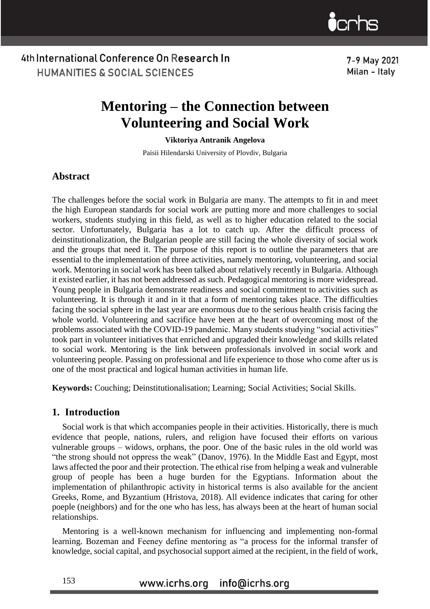7-9 May 2021 Milan - Italy

# **Mentoring – the Connection between Volunteering and Social Work**

**Viktoriya Antranik Angelova**

Paisii Hilendarski University of Plovdiv, Bulgaria

### **Abstract**

The challenges before the social work in Bulgaria are many. The attempts to fit in and meet the high European standards for social work are putting more and more challenges to social workers, students studying in this field, as well as to higher education related to the social sector. Unfortunately, Bulgaria has a lot to catch up. After the difficult process of deinstitutionalization, the Bulgarian people are still facing the whole diversity of social work and the groups that need it. The purpose of this report is to outline the parameters that are essential to the implementation of three activities, namely mentoring, volunteering, and social work. Mentoring in social work has been talked about relatively recently in Bulgaria. Although it existed earlier, it has not been addressed as such. Pedagogical mentoring is more widespread. Young people in Bulgaria demonstrate readiness and social commitment to activities such as volunteering. It is through it and in it that a form of mentoring takes place. The difficulties facing the social sphere in the last year are enormous due to the serious health crisis facing the whole world. Volunteering and sacrifice have been at the heart of overcoming most of the problems associated with the COVID-19 pandemic. Many students studying "social activities" took part in volunteer initiatives that enriched and upgraded their knowledge and skills related to social work. Mentoring is the link between professionals involved in social work and volunteering people. Passing on professional and life experience to those who come after us is one of the most practical and logical human activities in human life.

**Keywords:** Couching; Deinstitutionalisation; Learning; Social Activities; Social Skills.

### **1. Introduction**

Social work is that which accompanies people in their activities. Historically, there is much evidence that people, nations, rulers, and religion have focused their efforts on various vulnerable groups – widows, orphans, the poor. One of the basic rules in the old world was "the strong should not oppress the weak" (Danov, 1976). In the Middle East and Egypt, most laws affected the poor and their protection. The ethical rise from helping a weak and vulnerable group of people has been a huge burden for the Egyptians. Information about the implementation of philanthropic activity in historical terms is also available for the ancient Greeks, Rome, and Byzantium (Hristova, 2018). All evidence indicates that caring for other poeple (neighbors) and for the one who has less, has always been at the heart of human social relationships.

Mentoring is a well-known mechanism for influencing and implementing non-formal learning. Bozeman and Feeney define mentoring as "a process for the informal transfer of knowledge, social capital, and psychosocial support aimed at the recipient, in the field of work,

> www.icrhs.org info@icrhs.org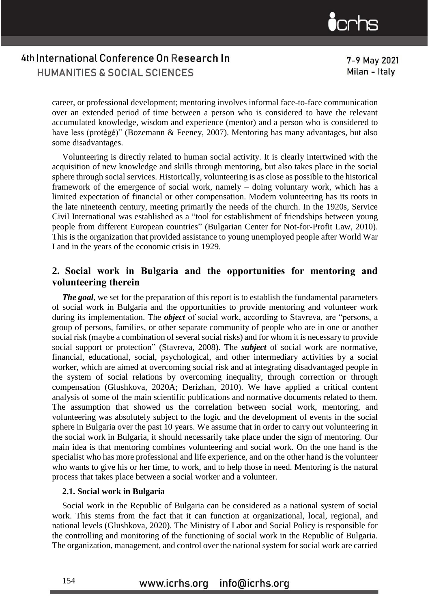7-9 May 2021 Milan - Italy

career, or professional development; mentoring involves informal face-to-face communication over an extended period of time between a person who is considered to have the relevant accumulated knowledge, wisdom and experience (mentor) and a person who is considered to have less (protégé)" (Bozemann & Feeney, 2007). Mentoring has many advantages, but also some disadvantages.

Volunteering is directly related to human social activity. It is clearly intertwined with the acquisition of new knowledge and skills through mentoring, but also takes place in the social sphere through social services. Historically, volunteering is as close as possible to the historical framework of the emergence of social work, namely – doing voluntary work, which has a limited expectation of financial or other compensation. Modern volunteering has its roots in the late nineteenth century, meeting primarily the needs of the church. In the 1920s, Service Civil International was established as a "tool for establishment of friendships between young people from different European countries" (Bulgarian Center for Not-for-Profit Law, 2010). This is the organization that provided assistance to young unemployed people after World War I and in the years of the economic crisis in 1929.

### **2. Social work in Bulgaria and the opportunities for mentoring and volunteering therein**

*The goal*, we set for the preparation of this report is to establish the fundamental parameters of social work in Bulgaria and the opportunities to provide mentoring and volunteer work during its implementation. The *object* of social work, according to Stavreva, are "persons, a group of persons, families, or other separate community of people who are in one or another social risk (maybe a combination of several social risks) and for whom it is necessary to provide social support or protection" (Stavreva, 2008). The *subject* of social work are normative, financial, educational, social, psychological, and other intermediary activities by a social worker, which are aimed at overcoming social risk and at integrating disadvantaged people in the system of social relations by overcoming inequality, through correction or through compensation (Glushkova, 2020A; Derizhan, 2010). We have applied a critical content analysis of some of the main scientific publications and normative documents related to them. The assumption that showed us the correlation between social work, mentoring, and volunteering was absolutely subject to the logic and the development of events in the social sphere in Bulgaria over the past 10 years. We assume that in order to carry out volunteering in the social work in Bulgaria, it should necessarily take place under the sign of mentoring. Our main idea is that mentoring combines volunteering and social work. On the one hand is the specialist who has more professional and life experience, and on the other hand is the volunteer who wants to give his or her time, to work, and to help those in need. Mentoring is the natural process that takes place between a social worker and a volunteer.

### **2.1. Social work in Bulgaria**

Social work in the Republic of Bulgaria can be considered as a national system of social work. This stems from the fact that it can function at organizational, local, regional, and national levels (Glushkova, 2020). The Ministry of Labor and Social Policy is responsible for the controlling and monitoring of the functioning of social work in the Republic of Bulgaria. The organization, management, and control over the national system for social work are carried

#### www.icrhs.org info@icrhs.org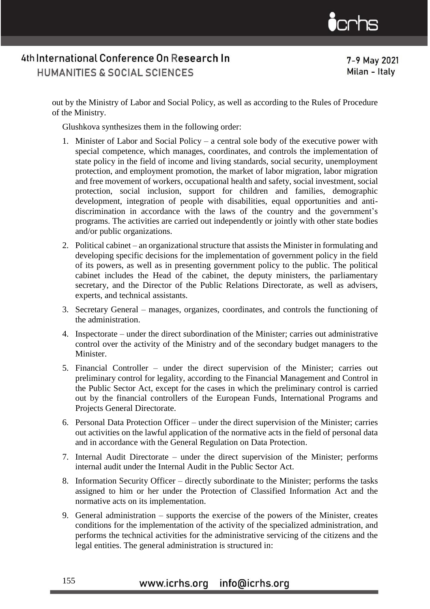7-9 May 2021 Milan - Italy

out by the Ministry of Labor and Social Policy, as well as according to the Rules of Procedure of the Ministry.

Glushkova synthesizes them in the following order:

- 1. Minister of Labor and Social Policy a central sole body of the executive power with special competence, which manages, coordinates, and controls the implementation of state policy in the field of income and living standards, social security, unemployment protection, and employment promotion, the market of labor migration, labor migration and free movement of workers, occupational health and safety, social investment, social protection, social inclusion, support for children and families, demographic development, integration of people with disabilities, equal opportunities and antidiscrimination in accordance with the laws of the country and the government's programs. The activities are carried out independently or jointly with other state bodies and/or public organizations.
- 2. Political cabinet an organizational structure that assists the Minister in formulating and developing specific decisions for the implementation of government policy in the field of its powers, as well as in presenting government policy to the public. The political cabinet includes the Head of the cabinet, the deputy ministers, the parliamentary secretary, and the Director of the Public Relations Directorate, as well as advisers, experts, and technical assistants.
- 3. Secretary General manages, organizes, coordinates, and controls the functioning of the administration.
- 4. Inspectorate under the direct subordination of the Minister; carries out administrative control over the activity of the Ministry and of the secondary budget managers to the Minister.
- 5. Financial Controller under the direct supervision of the Minister; carries out preliminary control for legality, according to the Financial Management and Control in the Public Sector Act, except for the cases in which the preliminary control is carried out by the financial controllers of the European Funds, International Programs and Projects General Directorate.
- 6. Personal Data Protection Officer under the direct supervision of the Minister; carries out activities on the lawful application of the normative acts in the field of personal data and in accordance with the General Regulation on Data Protection.
- 7. Internal Audit Directorate under the direct supervision of the Minister; performs internal audit under the Internal Audit in the Public Sector Act.
- 8. Information Security Officer directly subordinate to the Minister; performs the tasks assigned to him or her under the Protection of Classified Information Act and the normative acts on its implementation.
- 9. General administration supports the exercise of the powers of the Minister, creates conditions for the implementation of the activity of the specialized administration, and performs the technical activities for the administrative servicing of the citizens and the legal entities. The general administration is structured in:

## www.icrhs.org info@icrhs.org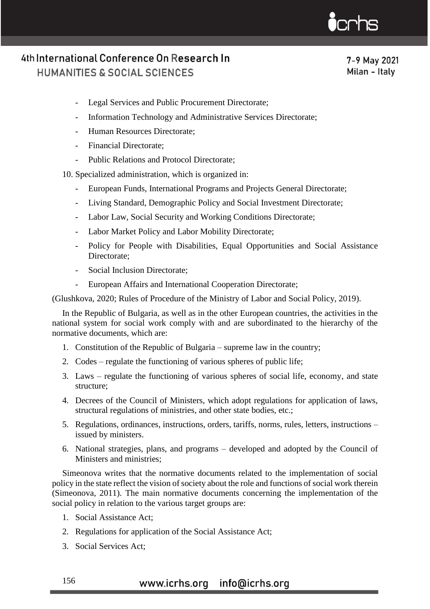7-9 May 2021 Milan - Italy

- Legal Services and Public Procurement Directorate;
- Information Technology and Administrative Services Directorate;
- Human Resources Directorate;
- Financial Directorate;
- Public Relations and Protocol Directorate;

10. Specialized administration, which is organized in:

- European Funds, International Programs and Projects General Directorate;
- Living Standard, Demographic Policy and Social Investment Directorate;
- Labor Law, Social Security and Working Conditions Directorate;
- Labor Market Policy and Labor Mobility Directorate;
- Policy for People with Disabilities, Equal Opportunities and Social Assistance Directorate;
- Social Inclusion Directorate;
- European Affairs and International Cooperation Directorate;

(Glushkova, 2020; Rules of Procedure of the Ministry of Labor and Social Policy, 2019).

In the Republic of Bulgaria, as well as in the other European countries, the activities in the national system for social work comply with and are subordinated to the hierarchy of the normative documents, which are:

- 1. Constitution of the Republic of Bulgaria supreme law in the country;
- 2. Codes regulate the functioning of various spheres of public life;
- 3. Laws regulate the functioning of various spheres of social life, economy, and state structure;
- 4. Decrees of the Council of Ministers, which adopt regulations for application of laws, structural regulations of ministries, and other state bodies, etc.;
- 5. Regulations, ordinances, instructions, orders, tariffs, norms, rules, letters, instructions issued by ministers.
- 6. National strategies, plans, and programs developed and adopted by the Council of Ministers and ministries;

Simeonova writes that the normative documents related to the implementation of social policy in the state reflect the vision of society about the role and functions of social work therein (Simeonova, 2011). The main normative documents concerning the implementation of the social policy in relation to the various target groups are:

- 1. Social Assistance Act;
- 2. Regulations for application of the Social Assistance Act;
- 3. Social Services Act;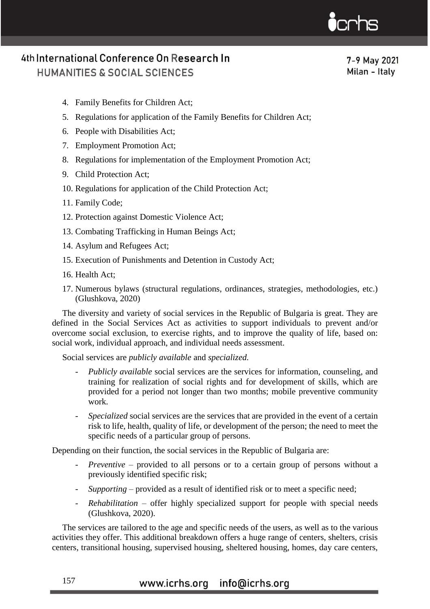7-9 May 2021 Milan - Italy

- 4. Family Benefits for Children Act;
- 5. Regulations for application of the Family Benefits for Children Act;
- 6. People with Disabilities Act;
- 7. Employment Promotion Act;
- 8. Regulations for implementation of the Employment Promotion Act;
- 9. Child Protection Act;
- 10. Regulations for application of the Child Protection Act;
- 11. Family Code;
- 12. Protection against Domestic Violence Act;
- 13. Combating Trafficking in Human Beings Act;
- 14. Asylum and Refugees Act;
- 15. Execution of Punishments and Detention in Custody Act;
- 16. Health Act;
- 17. Numerous bylaws (structural regulations, ordinances, strategies, methodologies, etc.) (Glushkova, 2020)

The diversity and variety of social services in the Republic of Bulgaria is great. They are defined in the Social Services Act as activities to support individuals to prevent and/or overcome social exclusion, to exercise rights, and to improve the quality of life, based on: social work, individual approach, and individual needs assessment.

Social services are *publicly available* and *specialized.*

- Publicly available social services are the services for information, counseling, and training for realization of social rights and for development of skills, which are provided for a period not longer than two months; mobile preventive community work.
- *Specialized* social services are the services that are provided in the event of a certain risk to life, health, quality of life, or development of the person; the need to meet the specific needs of a particular group of persons.

Depending on their function, the social services in the Republic of Bulgaria are:

- Preventive provided to all persons or to a certain group of persons without a previously identified specific risk;
- *Supporting*  provided as a result of identified risk or to meet a specific need;
- *Rehabilitation*  offer highly specialized support for people with special needs (Glushkova, 2020).

The services are tailored to the age and specific needs of the users, as well as to the various activities they offer. This additional breakdown offers a huge range of centers, shelters, crisis centers, transitional housing, supervised housing, sheltered housing, homes, day care centers,

## www.icrhs.org info@icrhs.org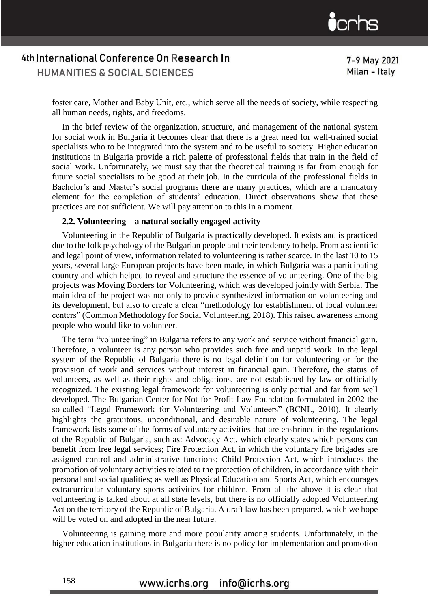

7-9 May 2021 Milan - Italy

foster care, Mother and Baby Unit, etc., which serve all the needs of society, while respecting all human needs, rights, and freedoms.

In the brief review of the organization, structure, and management of the national system for social work in Bulgaria it becomes clear that there is a great need for well-trained social specialists who to be integrated into the system and to be useful to society. Higher education institutions in Bulgaria provide a rich palette of professional fields that train in the field of social work. Unfortunately, we must say that the theoretical training is far from enough for future social specialists to be good at their job. In the curricula of the professional fields in Bachelor's and Master's social programs there are many practices, which are a mandatory element for the completion of students' education. Direct observations show that these practices are not sufficient. We will pay attention to this in a moment.

#### **2.2. Volunteering – a natural socially engaged activity**

Volunteering in the Republic of Bulgaria is practically developed. It exists and is practiced due to the folk psychology of the Bulgarian people and their tendency to help. From a scientific and legal point of view, information related to volunteering is rather scarce. In the last 10 to 15 years, several large European projects have been made, in which Bulgaria was a participating country and which helped to reveal and structure the essence of volunteering. One of the big projects was Moving Borders for Volunteering, which was developed jointly with Serbia. The main idea of the project was not only to provide synthesized information on volunteering and its development, but also to create a clear "methodology for establishment of local volunteer centers" (Common Methodology for Social Volunteering, 2018). This raised awareness among people who would like to volunteer.

The term "volunteering" in Bulgaria refers to any work and service without financial gain. Therefore, a volunteer is any person who provides such free and unpaid work. In the legal system of the Republic of Bulgaria there is no legal definition for volunteering or for the provision of work and services without interest in financial gain. Therefore, the status of volunteers, as well as their rights and obligations, are not established by law or officially recognized. The existing legal framework for volunteering is only partial and far from well developed. The Bulgarian Center for Not-for-Profit Law Foundation formulated in 2002 the so-called "Legal Framework for Volunteering and Volunteers" (BCNL, 2010). It clearly highlights the gratuitous, unconditional, and desirable nature of volunteering. The legal framework lists some of the forms of voluntary activities that are enshrined in the regulations of the Republic of Bulgaria, such as: Advocacy Act, which clearly states which persons can benefit from free legal services; Fire Protection Act, in which the voluntary fire brigades are assigned control and administrative functions; Child Protection Act, which introduces the promotion of voluntary activities related to the protection of children, in accordance with their personal and social qualities; as well as Physical Education and Sports Act, which encourages extracurricular voluntary sports activities for children. From all the above it is clear that volunteering is talked about at all state levels, but there is no officially adopted Volunteering Act on the territory of the Republic of Bulgaria. A draft law has been prepared, which we hope will be voted on and adopted in the near future.

Volunteering is gaining more and more popularity among students. Unfortunately, in the higher education institutions in Bulgaria there is no policy for implementation and promotion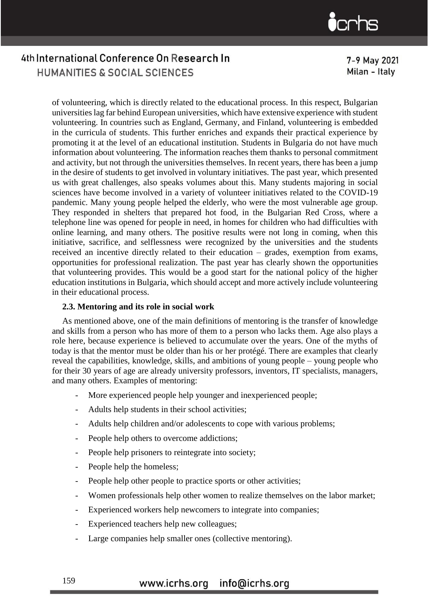7-9 May 2021 Milan - Italy

of volunteering, which is directly related to the educational process. In this respect, Bulgarian universities lag far behind European universities, which have extensive experience with student volunteering. In countries such as England, Germany, and Finland, volunteering is embedded in the curricula of students. This further enriches and expands their practical experience by promoting it at the level of an educational institution. Students in Bulgaria do not have much information about volunteering. The information reaches them thanks to personal commitment and activity, but not through the universities themselves. In recent years, there has been a jump in the desire of students to get involved in voluntary initiatives. The past year, which presented us with great challenges, also speaks volumes about this. Many students majoring in social sciences have become involved in a variety of volunteer initiatives related to the COVID-19 pandemic. Many young people helped the elderly, who were the most vulnerable age group. They responded in shelters that prepared hot food, in the Bulgarian Red Cross, where a telephone line was opened for people in need, in homes for children who had difficulties with online learning, and many others. The positive results were not long in coming, when this initiative, sacrifice, and selflessness were recognized by the universities and the students received an incentive directly related to their education – grades, exemption from exams, opportunities for professional realization. The past year has clearly shown the opportunities that volunteering provides. This would be a good start for the national policy of the higher education institutions in Bulgaria, which should accept and more actively include volunteering in their educational process.

### **2.3. Mentoring and its role in social work**

As mentioned above, one of the main definitions of mentoring is the transfer of knowledge and skills from a person who has more of them to a person who lacks them. Age also plays a role here, because experience is believed to accumulate over the years. One of the myths of today is that the mentor must be older than his or her protégé. There are examples that clearly reveal the capabilities, knowledge, skills, and ambitions of young people – young people who for their 30 years of age are already university professors, inventors, IT specialists, managers, and many others. Examples of mentoring:

- More experienced people help younger and inexperienced people;
- Adults help students in their school activities;
- Adults help children and/or adolescents to cope with various problems;
- People help others to overcome addictions;
- People help prisoners to reintegrate into society;
- People help the homeless;
- People help other people to practice sports or other activities;
- Women professionals help other women to realize themselves on the labor market;
- Experienced workers help newcomers to integrate into companies;
- Experienced teachers help new colleagues;
- Large companies help smaller ones (collective mentoring).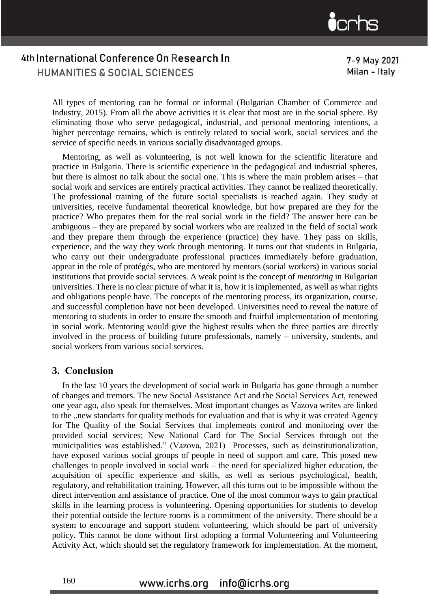7-9 May 2021 Milan - Italy

All types of mentoring can be formal or informal (Bulgarian Chamber of Commerce and Industry, 2015). From all the above activities it is clear that most are in the social sphere. By eliminating those who serve pedagogical, industrial, and personal mentoring intentions, a higher percentage remains, which is entirely related to social work, social services and the service of specific needs in various socially disadvantaged groups.

Mentoring, as well as volunteering, is not well known for the scientific literature and practice in Bulgaria. There is scientific experience in the pedagogical and industrial spheres, but there is almost no talk about the social one. This is where the main problem arises – that social work and services are entirely practical activities. They cannot be realized theoretically. The professional training of the future social specialists is reached again. They study at universities, receive fundamental theoretical knowledge, but how prepared are they for the practice? Who prepares them for the real social work in the field? The answer here can be ambiguous – they are prepared by social workers who are realized in the field of social work and they prepare them through the experience (practice) they have. They pass on skills, experience, and the way they work through mentoring. It turns out that students in Bulgaria, who carry out their undergraduate professional practices immediately before graduation, appear in the role of protégés, who are mentored by mentors (social workers) in various social institutions that provide social services. A weak point is the concept of *mentoring* in Bulgarian universities. There is no clear picture of what it is, how it is implemented, as well as what rights and obligations people have. The concepts of the mentoring process, its organization, course, and successful completion have not been developed. Universities need to reveal the nature of mentoring to students in order to ensure the smooth and fruitful implementation of mentoring in social work. Mentoring would give the highest results when the three parties are directly involved in the process of building future professionals, namely – university, students, and social workers from various social services.

### **3. Conclusion**

In the last 10 years the development of social work in Bulgaria has gone through a number of changes and tremors. The new Social Assistance Act and the Social Services Act, renewed one year ago, also speak for themselves. Most important changes as Vazova writes are linked to the , new standarts for quality methods for evaluation and that is why it was created Agency for The Quality of the Social Services that implements control and monitoring over the provided social services; New National Card for The Social Services through out the municipalities was established." (Vazova, 2021) Processes, such as deinstitutionalization, have exposed various social groups of people in need of support and care. This posed new challenges to people involved in social work – the need for specialized higher education, the acquisition of specific experience and skills, as well as serious psychological, health, regulatory, and rehabilitation training. However, all this turns out to be impossible without the direct intervention and assistance of practice. One of the most common ways to gain practical skills in the learning process is volunteering. Opening opportunities for students to develop their potential outside the lecture rooms is a commitment of the university. There should be a system to encourage and support student volunteering, which should be part of university policy. This cannot be done without first adopting a formal Volunteering and Volunteering Activity Act, which should set the regulatory framework for implementation. At the moment,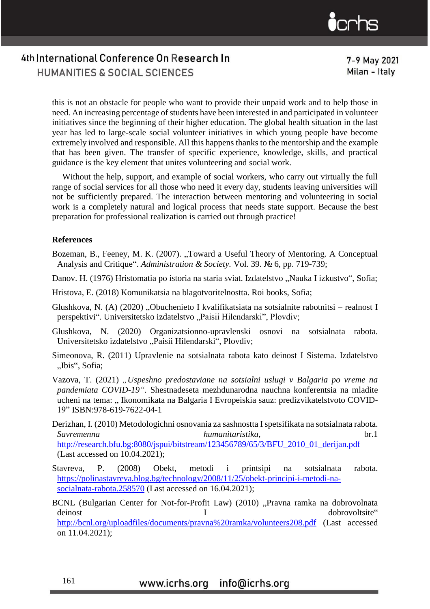

7-9 May 2021 Milan - Italy

this is not an obstacle for people who want to provide their unpaid work and to help those in need. An increasing percentage of students have been interested in and participated in volunteer initiatives since the beginning of their higher education. The global health situation in the last year has led to large-scale social volunteer initiatives in which young people have become extremely involved and responsible. All this happens thanks to the mentorship and the example that has been given. The transfer of specific experience, knowledge, skills, and practical guidance is the key element that unites volunteering and social work.

Without the help, support, and example of social workers, who carry out virtually the full range of social services for all those who need it every day, students leaving universities will not be sufficiently prepared. The interaction between mentoring and volunteering in social work is a completely natural and logical process that needs state support. Because the best preparation for professional realization is carried out through practice!

### **References**

- Bozeman, B., Feeney, M. K. (2007). "Toward a Useful Theory of Mentoring. A Conceptual Analysis and Critique". *Administration & Society.* Vol. 39. № 6, pp. 719-739;
- Danov. H. (1976) Hristomatia po istoria na staria sviat. Izdatelstvo "Nauka I izkustvo", Sofia;
- Hristova, E. (2018) Komunikatsia na blagotvoritelnostta. Roi books, Sofia;
- Glushkova, N. (A) (2020) "Obuchenieto I kvalifikatsiata na sotsialnite rabotnitsi realnost I perspektivi". Universitetsko izdatelstvo "Paisii Hilendarski", Plovdiv;
- Glushkova, N. (2020) Organizatsionno-upravlenski osnovi na sotsialnata rabota. Universitetsko izdatelstvo "Paisii Hilendarski", Plovdiv;
- Simeonova, R. (2011) Upravlenie na sotsialnata rabota kato deinost I Sistema. Izdatelstvo "Ibis", Sofia;
- Vazova, T. (2021) *"Uspeshno predostaviane na sotsialni uslugi v Balgaria po vreme na pandemiata COVID-19"*. Shestnadeseta mezhdunarodna nauchna konferentsia na mladite ucheni na tema: " Ikonomikata na Balgaria I Evropeiskia sauz: predizvikatelstvoto COVID-19" ISBN:978-619-7622-04-1
- Derizhan, I. (2010) Metodologichni osnovania za sashnostta I spetsifikata na sotsialnata rabota. *Savremenna humanitaristika,* br.1 [http://research.bfu.bg:8080/jspui/bitstream/123456789/65/3/BFU\\_2010\\_01\\_derijan.pdf](http://research.bfu.bg:8080/jspui/bitstream/123456789/65/3/BFU_2010_01_derijan.pdf) (Last accessed on 10.04.2021);
- Stavreva, P. (2008) Obekt, metodi i printsipi na sotsialnata rabota. [https://polinastavreva.blog.bg/technology/2008/11/25/obekt-principi-i-metodi-na](https://polinastavreva.blog.bg/technology/2008/11/25/obekt-principi-i-metodi-na-socialnata-rabota.258570)[socialnata-rabota.258570](https://polinastavreva.blog.bg/technology/2008/11/25/obekt-principi-i-metodi-na-socialnata-rabota.258570) (Last accessed on 16.04.2021);

BCNL (Bulgarian Center for Not-for-Profit Law) (2010) "Pravna ramka na dobrovolnata deinost I dobrovoltsite" <http://bcnl.org/uploadfiles/documents/pravna%20ramka/volunteers208.pdf> (Last accessed on 11.04.2021);